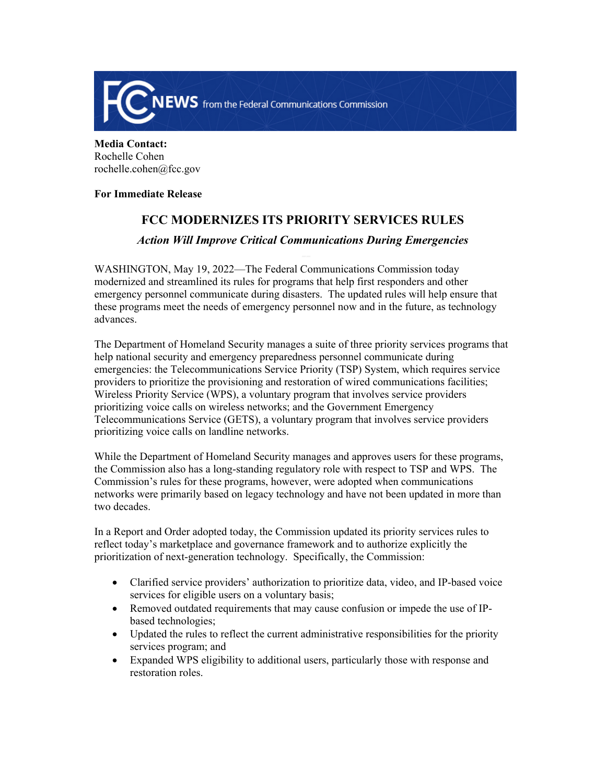

**Media Contact:**  Rochelle Cohen rochelle.cohen@fcc.gov

## **For Immediate Release**

## **FCC MODERNIZES ITS PRIORITY SERVICES RULES**

## *Action Will Improve Critical Communications During Emergencies*

WASHINGTON, May 19, 2022—The Federal Communications Commission today modernized and streamlined its rules for programs that help first responders and other emergency personnel communicate during disasters. The updated rules will help ensure that these programs meet the needs of emergency personnel now and in the future, as technology advances.

The Department of Homeland Security manages a suite of three priority services programs that help national security and emergency preparedness personnel communicate during emergencies: the Telecommunications Service Priority (TSP) System, which requires service providers to prioritize the provisioning and restoration of wired communications facilities; Wireless Priority Service (WPS), a voluntary program that involves service providers prioritizing voice calls on wireless networks; and the Government Emergency Telecommunications Service (GETS), a voluntary program that involves service providers prioritizing voice calls on landline networks.

While the Department of Homeland Security manages and approves users for these programs, the Commission also has a long-standing regulatory role with respect to TSP and WPS. The Commission's rules for these programs, however, were adopted when communications networks were primarily based on legacy technology and have not been updated in more than two decades.

In a Report and Order adopted today, the Commission updated its priority services rules to reflect today's marketplace and governance framework and to authorize explicitly the prioritization of next-generation technology. Specifically, the Commission:

- Clarified service providers' authorization to prioritize data, video, and IP-based voice services for eligible users on a voluntary basis;
- Removed outdated requirements that may cause confusion or impede the use of IPbased technologies;
- Updated the rules to reflect the current administrative responsibilities for the priority services program; and
- Expanded WPS eligibility to additional users, particularly those with response and restoration roles.